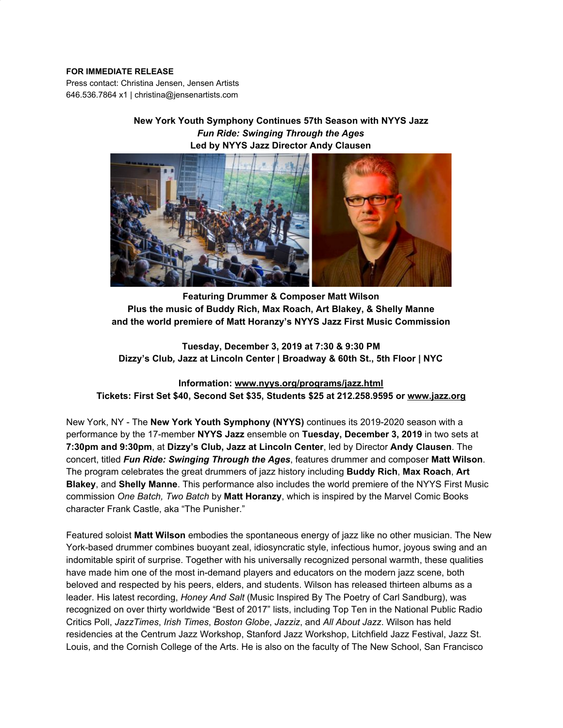#### **FOR IMMEDIATE RELEASE**

Press contact: Christina Jensen, Jensen Artists 646.536.7864 x1 | christina@jensenartists.com

# **New York Youth Symphony Continues 57th Season with NYYS Jazz** *Fun Ride: Swinging Through the Ages* **Led by NYYS Jazz Director Andy Clausen**



**Featuring Drummer & Composer Matt Wilson Plus the music of Buddy Rich, Max Roach, Art Blakey, & Shelly Manne and the world premiere of Matt Horanzy's NYYS Jazz First Music Commission**

**Tuesday, December 3, 2019 at 7:30 & 9:30 PM Dizzy's Club***,* **Jazz at Lincoln Center | Broadway & 60th St., 5th Floor | NYC**

**Information: [www.nyys.org/programs/jazz.html](https://u7061146.ct.sendgrid.net/wf/click?upn=84Em28S1K9SvtzcUtu04Enahs6TwF6CuzomfznfW5B4N1w20g1fgLVRuUqAkgLut_DruDjhchMBr5xQkz3h1qcOnjZc-2BCsAVhraQ7DxYhbA2-2BHLQf-2BHKWaWi2FTM7QHo-2Fd7eCMDRMAhfd2mcWSs-2FpzNW9MmuPwV7rH-2FbDd7DdSSbbGkDbS44iWwui9UjOJ-2BPegg30c-2FGpi4xo3ldNanp7QqbBPlO9CtsLNb1QE-2B9iX89LACRyUFyzIfYHcSrTZ2epaf-2B18hNmGc3AdTAPy4e5j6omnFPYbiItvl-2Bx5-2F-2FzYjoXNBU3NnKOTrCIXj45yUzj9fi6H8G9pyEUNATCra0HGQQMIpZC40Lclgp6D7g2dP-2FSo9DUXw5EbsZUW-2FK7AHu8NYm6V8A8Q6-2B1g0nasyzTpW-2F1Pj6ySyMqTfpxO7ENzo8-3D) Tickets: First Set \$40, Second Set \$35, Students \$25 at 212.258.9595 or [www.jazz.org](https://u7061146.ct.sendgrid.net/wf/click?upn=84Em28S1K9SvtzcUtu04ElUdCCI7I7boduhZrN0fooU-3D_DruDjhchMBr5xQkz3h1qcOnjZc-2BCsAVhraQ7DxYhbA2-2BHLQf-2BHKWaWi2FTM7QHo-2Fd7eCMDRMAhfd2mcWSs-2FpzNW9MmuPwV7rH-2FbDd7DdSSbbGkDbS44iWwui9UjOJ-2BPegg30c-2FGpi4xo3ldNanp7QqbBPlO9CtsLNb1QE-2B9iX89LACRyUFyzIfYHcSrTZ2epaf-2B18hNmGc3AdTAPy4e5j2cy68jenSSiSeqauzcu9HEg-2BEZVt4XZfGsxTyp5Fffu1HgJqw-2BoGtbmBmoF43qEGlLZcpF0Mb4UlaMZRNLiUAk6-2FAxuUyLWUdwIaX3TmM-2B4crYVn48Kb1FkXqn9ZHiXSv-2FKdGlq1muX3hdAmVX5oY4-3D)**

New York, NY - The **New York Youth Symphony (NYYS)** continues its 2019-2020 season with a performance by the 17-member **NYYS Jazz** ensemble on **Tuesday, December 3, 2019** in two sets at **7:30pm and 9:30pm**, at **Dizzy's Club, Jazz at Lincoln Center**, led by Director **Andy Clausen**. The concert, titled *Fun Ride: Swinging Through the Ages*, features drummer and composer **Matt Wilson**. The program celebrates the great drummers of jazz history including **Buddy Rich**, **Max Roach**, **Art Blakey**, and **Shelly Manne**. This performance also includes the world premiere of the NYYS First Music commission *One Batch, Two Batch* by **Matt Horanzy**, which is inspired by the Marvel Comic Books character Frank Castle, aka "The Punisher."

Featured soloist **Matt Wilson** embodies the spontaneous energy of jazz like no other musician. The New York-based drummer combines buoyant zeal, idiosyncratic style, infectious humor, joyous swing and an indomitable spirit of surprise. Together with his universally recognized personal warmth, these qualities have made him one of the most in-demand players and educators on the modern jazz scene, both beloved and respected by his peers, elders, and students. Wilson has released thirteen albums as a leader. His latest recording, *Honey And Salt* (Music Inspired By The Poetry of Carl Sandburg), was recognized on over thirty worldwide "Best of 2017" lists, including Top Ten in the National Public Radio Critics Poll, *JazzTimes*, *Irish Times*, *Boston Globe*, *Jazziz*, and *All About Jazz*. Wilson has held residencies at the Centrum Jazz Workshop, Stanford Jazz Workshop, Litchfield Jazz Festival, Jazz St. Louis, and the Cornish College of the Arts. He is also on the faculty of The New School, San Francisco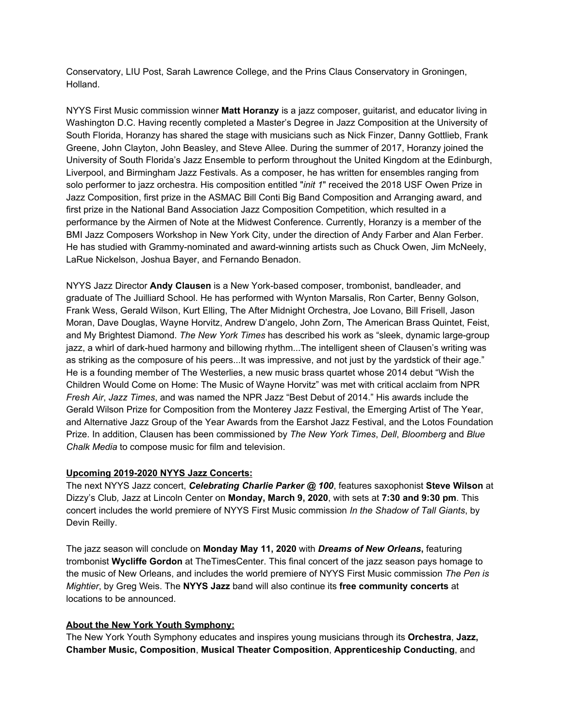Conservatory, LIU Post, Sarah Lawrence College, and the Prins Claus Conservatory in Groningen, Holland.

NYYS First Music commission winner **Matt Horanzy** is a jazz composer, guitarist, and educator living in Washington D.C. Having recently completed a Master's Degree in Jazz Composition at the University of South Florida, Horanzy has shared the stage with musicians such as Nick Finzer, Danny Gottlieb, Frank Greene, John Clayton, John Beasley, and Steve Allee. During the summer of 2017, Horanzy joined the University of South Florida's Jazz Ensemble to perform throughout the United Kingdom at the Edinburgh, Liverpool, and Birmingham Jazz Festivals. As a composer, he has written for ensembles ranging from solo performer to jazz orchestra. His composition entitled "*init 1*" received the 2018 USF Owen Prize in Jazz Composition, first prize in the ASMAC Bill Conti Big Band Composition and Arranging award, and first prize in the National Band Association Jazz Composition Competition, which resulted in a performance by the Airmen of Note at the Midwest Conference. Currently, Horanzy is a member of the BMI Jazz Composers Workshop in New York City, under the direction of Andy Farber and Alan Ferber. He has studied with Grammy-nominated and award-winning artists such as Chuck Owen, Jim McNeely, LaRue Nickelson, Joshua Bayer, and Fernando Benadon.

NYYS Jazz Director **Andy Clausen** is a New York-based composer, trombonist, bandleader, and graduate of The Juilliard School. He has performed with Wynton Marsalis, Ron Carter, Benny Golson, Frank Wess, Gerald Wilson, Kurt Elling, The After Midnight Orchestra, Joe Lovano, Bill Frisell, Jason Moran, Dave Douglas, Wayne Horvitz, Andrew D'angelo, John Zorn, The American Brass Quintet, Feist, and My Brightest Diamond. *The New York Times* has described his work as "sleek, dynamic large-group jazz, a whirl of dark-hued harmony and billowing rhythm...The intelligent sheen of Clausen's writing was as striking as the composure of his peers...It was impressive, and not just by the yardstick of their age." He is a founding member of The Westerlies, a new music brass quartet whose 2014 debut "Wish the Children Would Come on Home: The Music of Wayne Horvitz" was met with critical acclaim from NPR *Fresh Air*, *Jazz Times*, and was named the NPR Jazz "Best Debut of 2014." His awards include the Gerald Wilson Prize for Composition from the Monterey Jazz Festival, the Emerging Artist of The Year, and Alternative Jazz Group of the Year Awards from the Earshot Jazz Festival, and the Lotos Foundation Prize. In addition, Clausen has been commissioned by *The New York Times*, *Dell*, *Bloomberg* and *Blue Chalk Media* to compose music for film and television.

## **Upcoming 2019-2020 NYYS Jazz Concerts:**

The next NYYS Jazz concert, *Celebrating Charlie Parker @ 100*, features saxophonist **Steve Wilson** at Dizzy's Club*,* Jazz at Lincoln Center on **Monday, March 9, 2020**, with sets at **7:30 and 9:30 pm**. This concert includes the world premiere of NYYS First Music commission *In the Shadow of Tall Giants*, by Devin Reilly.

The jazz season will conclude on **Monday May 11, 2020** with *Dreams of New Orleans***,** featuring trombonist **Wycliffe Gordon** at TheTimesCenter. This final concert of the jazz season pays homage to the music of New Orleans, and includes the world premiere of NYYS First Music commission *The Pen is Mightier*, by Greg Weis. The **NYYS Jazz** band will also continue its **free community concerts** at locations to be announced.

## **About the New York Youth Symphony:**

The New York Youth Symphony educates and inspires young musicians through its **Orchestra**, **Jazz, Chamber Music, Composition**, **Musical Theater Composition**, **Apprenticeship Conducting**, and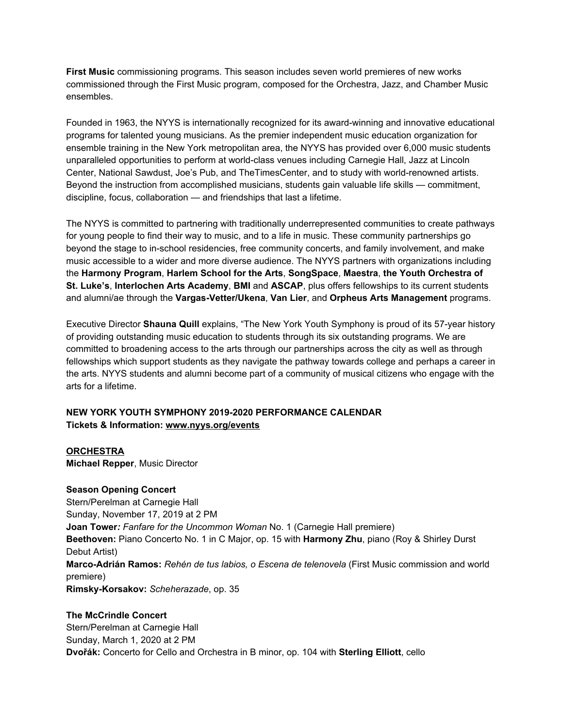**First Music** commissioning programs. This season includes seven world premieres of new works commissioned through the First Music program, composed for the Orchestra, Jazz, and Chamber Music ensembles.

Founded in 1963, the NYYS is internationally recognized for its award-winning and innovative educational programs for talented young musicians. As the premier independent music education organization for ensemble training in the New York metropolitan area, the NYYS has provided over 6,000 music students unparalleled opportunities to perform at world-class venues including Carnegie Hall, Jazz at Lincoln Center, National Sawdust, Joe's Pub, and TheTimesCenter, and to study with world-renowned artists. Beyond the instruction from accomplished musicians, students gain valuable life skills — commitment, discipline, focus, collaboration — and friendships that last a lifetime.

The NYYS is committed to partnering with traditionally underrepresented communities to create pathways for young people to find their way to music, and to a life in music. These community partnerships go beyond the stage to in-school residencies, free community concerts, and family involvement, and make music accessible to a wider and more diverse audience. The NYYS partners with organizations including the **Harmony Program**, **Harlem School for the Arts**, **SongSpace**, **Maestra**, **the Youth Orchestra of St. Luke's**, **Interlochen Arts Academy**, **BMI** and **ASCAP**, plus offers fellowships to its current students and alumni/ae through the **Vargas-Vetter/Ukena**, **Van Lier**, and **Orpheus Arts Management** programs.

Executive Director **Shauna Quill** explains, "The New York Youth Symphony is proud of its 57-year history of providing outstanding music education to students through its six outstanding programs. We are committed to broadening access to the arts through our partnerships across the city as well as through fellowships which support students as they navigate the pathway towards college and perhaps a career in the arts. NYYS students and alumni become part of a community of musical citizens who engage with the arts for a lifetime.

## **NEW YORK YOUTH SYMPHONY 2019-2020 PERFORMANCE CALENDAR Tickets & Information: [www.nyys.org/events](https://u7061146.ct.sendgrid.net/wf/click?upn=84Em28S1K9SvtzcUtu04EvrLdhrhz0RQ6YNkHwQNHxWFJGJNK3QN28wLTPw3yGLi_DruDjhchMBr5xQkz3h1qcOnjZc-2BCsAVhraQ7DxYhbA2-2BHLQf-2BHKWaWi2FTM7QHo-2Fd7eCMDRMAhfd2mcWSs-2FpzNW9MmuPwV7rH-2FbDd7DdSSbbGkDbS44iWwui9UjOJ-2BPegg30c-2FGpi4xo3ldNanp7QqbBPlO9CtsLNb1QE-2B9iX89LACRyUFyzIfYHcSrTZ2epaf-2B18hNmGc3AdTAPy4e5j-2BGmgp-2FlZbAejLEZIiQrd5fmJvt-2B-2BwQ1oQ5uWLvdfIvvL61Fbmu2ss4mykFE1YLq6Q9FT4nZSX351YRVPS2SRzk5jxyBwWEbW9X4NPgBIsNc-2FA-2BiNKBhYpSIZZQwrBZcVa2jKDA0K0yRM3FdXlff6qo-3D)**

**ORCHESTRA**

**Michael Repper**, Music Director

## **Season Opening Concert**

Stern/Perelman at Carnegie Hall Sunday, November 17, 2019 at 2 PM **Joan Tower***: Fanfare for the Uncommon Woman* No. 1 (Carnegie Hall premiere) **Beethoven:** Piano Concerto No. 1 in C Major, op. 15 with **Harmony Zhu**, piano (Roy & Shirley Durst Debut Artist) **Marco-Adrián Ramos:** *Rehén de tus labios, o Escena de telenovela* (First Music commission and world premiere) **Rimsky-Korsakov:** *Scheherazade*, op. 35

# **The McCrindle Concert** Stern/Perelman at Carnegie Hall Sunday, March 1, 2020 at 2 PM **Dvořák:** Concerto for Cello and Orchestra in B minor, op. 104 with **Sterling Elliott**, cello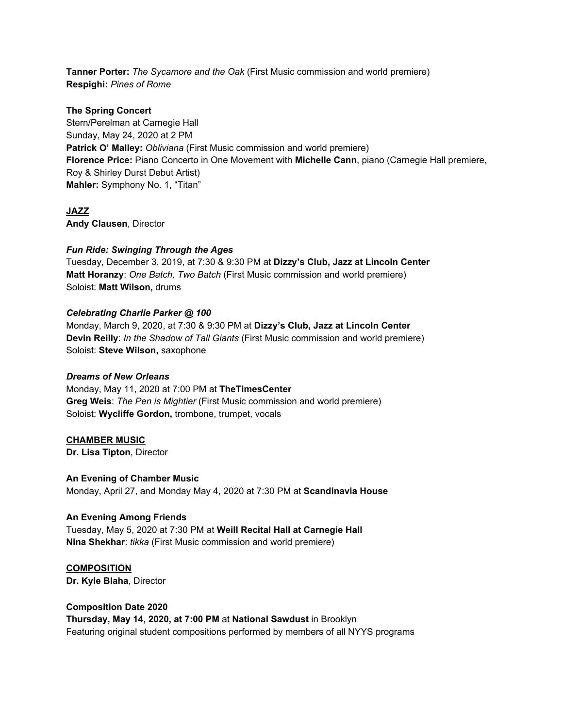**Tanner Porter:** *The Sycamore and the Oak* (First Music commission and world premiere) **Respighi:** *Pines of Rome*

### **The Spring Concert**

Stern/Perelman at Carnegie Hall Sunday, May 24, 2020 at 2 PM **Patrick O' Malley:** *Obliviana* (First Music commission and world premiere) **Florence Price:** Piano Concerto in One Movement with **Michelle Cann**, piano (Carnegie Hall premiere, Roy & Shirley Durst Debut Artist) **Mahler:** Symphony No. 1, "Titan"

# **JAZZ**

**Andy Clausen**, Director

### *Fun Ride: Swinging Through the Ages*

Tuesday, December 3, 2019, at 7:30 & 9:30 PM at **Dizzy's Club, Jazz at Lincoln Center Matt Horanzy**: *One Batch, Two Batch* (First Music commission and world premiere) Soloist: **Matt Wilson,** drums

### *Celebrating Charlie Parker @ 100*

Monday, March 9, 2020, at 7:30 & 9:30 PM at **Dizzy's Club, Jazz at Lincoln Center Devin Reilly**: *In the Shadow of Tall Giants* (First Music commission and world premiere) Soloist: **Steve Wilson,** saxophone

#### *Dreams of New Orleans*

Monday, May 11, 2020 at 7:00 PM at **TheTimesCenter Greg Weis**: *The Pen is Mightier* (First Music commission and world premiere) Soloist: **Wycliffe Gordon,** trombone, trumpet, vocals

#### **CHAMBER MUSIC**

**Dr. Lisa Tipton**, Director

**An Evening of Chamber Music** Monday, April 27, and Monday May 4, 2020 at 7:30 PM at **Scandinavia House**

#### **An Evening Among Friends**

Tuesday, May 5, 2020 at 7:30 PM at **Weill Recital Hall at Carnegie Hall Nina Shekhar**: *tikka* (First Music commission and world premiere)

**COMPOSITION Dr. Kyle Blaha**, Director

**Composition Date 2020 Thursday, May 14, 2020, at 7:00 PM** at **National Sawdust** in Brooklyn Featuring original student compositions performed by members of all NYYS programs